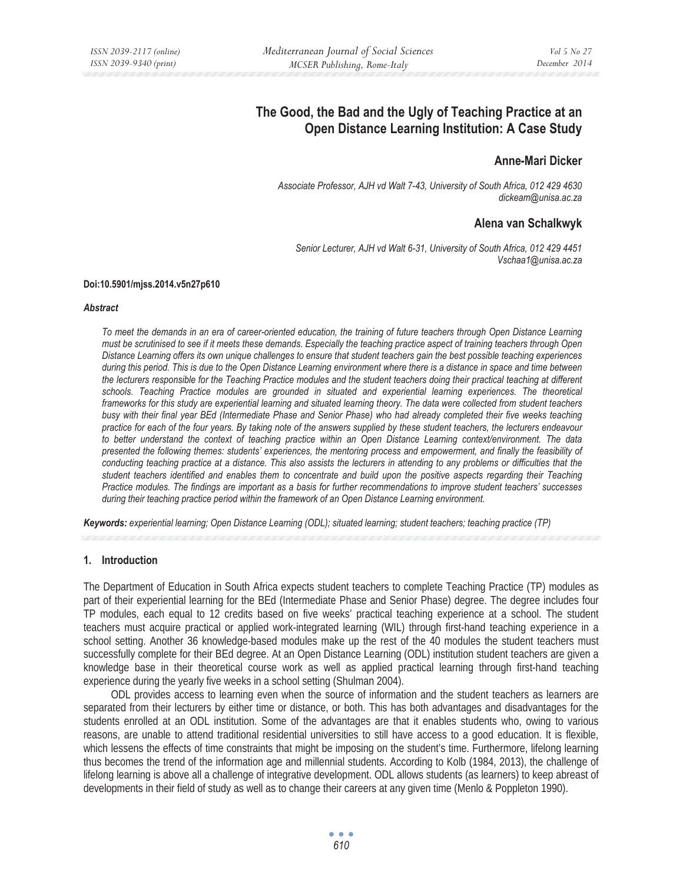# **The Good, the Bad and the Ugly of Teaching Practice at an Open Distance Learning Institution: A Case Study**

# **Anne-Mari Dicker**

*Associate Professor, AJH vd Walt 7-43, University of South Africa, 012 429 4630 dickeam@unisa.ac.za* 

# **Alena van Schalkwyk**

*Senior Lecturer, AJH vd Walt 6-31, University of South Africa, 012 429 4451 Vschaa1@unisa.ac.za* 

#### **Doi:10.5901/mjss.2014.v5n27p610**

#### *Abstract*

*To meet the demands in an era of career-oriented education, the training of future teachers through Open Distance Learning must be scrutinised to see if it meets these demands. Especially the teaching practice aspect of training teachers through Open Distance Learning offers its own unique challenges to ensure that student teachers gain the best possible teaching experiences*  during this period. This is due to the Open Distance Learning environment where there is a distance in space and time between *the lecturers responsible for the Teaching Practice modules and the student teachers doing their practical teaching at different*  schools. Teaching Practice modules are grounded in situated and experiential learning experiences. The theoretical *frameworks for this study are experiential learning and situated learning theory. The data were collected from student teachers busy with their final year BEd (Intermediate Phase and Senior Phase) who had already completed their five weeks teaching practice for each of the four years. By taking note of the answers supplied by these student teachers, the lecturers endeavour to better understand the context of teaching practice within an Open Distance Learning context/environment. The data presented the following themes: students' experiences, the mentoring process and empowerment, and finally the feasibility of conducting teaching practice at a distance. This also assists the lecturers in attending to any problems or difficulties that the student teachers identified and enables them to concentrate and build upon the positive aspects regarding their Teaching Practice modules. The findings are important as a basis for further recommendations to improve student teachers' successes during their teaching practice period within the framework of an Open Distance Learning environment.* 

*Keywords: experiential learning; Open Distance Learning (ODL); situated learning; student teachers; teaching practice (TP)*

## **1. Introduction**

The Department of Education in South Africa expects student teachers to complete Teaching Practice (TP) modules as part of their experiential learning for the BEd (Intermediate Phase and Senior Phase) degree. The degree includes four TP modules, each equal to 12 credits based on five weeks' practical teaching experience at a school. The student teachers must acquire practical or applied work-integrated learning (WIL) through first-hand teaching experience in a school setting. Another 36 knowledge-based modules make up the rest of the 40 modules the student teachers must successfully complete for their BEd degree. At an Open Distance Learning (ODL) institution student teachers are given a knowledge base in their theoretical course work as well as applied practical learning through first-hand teaching experience during the yearly five weeks in a school setting (Shulman 2004).

ODL provides access to learning even when the source of information and the student teachers as learners are separated from their lecturers by either time or distance, or both. This has both advantages and disadvantages for the students enrolled at an ODL institution. Some of the advantages are that it enables students who, owing to various reasons, are unable to attend traditional residential universities to still have access to a good education. It is flexible, which lessens the effects of time constraints that might be imposing on the student's time. Furthermore, lifelong learning thus becomes the trend of the information age and millennial students. According to Kolb (1984, 2013), the challenge of lifelong learning is above all a challenge of integrative development. ODL allows students (as learners) to keep abreast of developments in their field of study as well as to change their careers at any given time (Menlo & Poppleton 1990).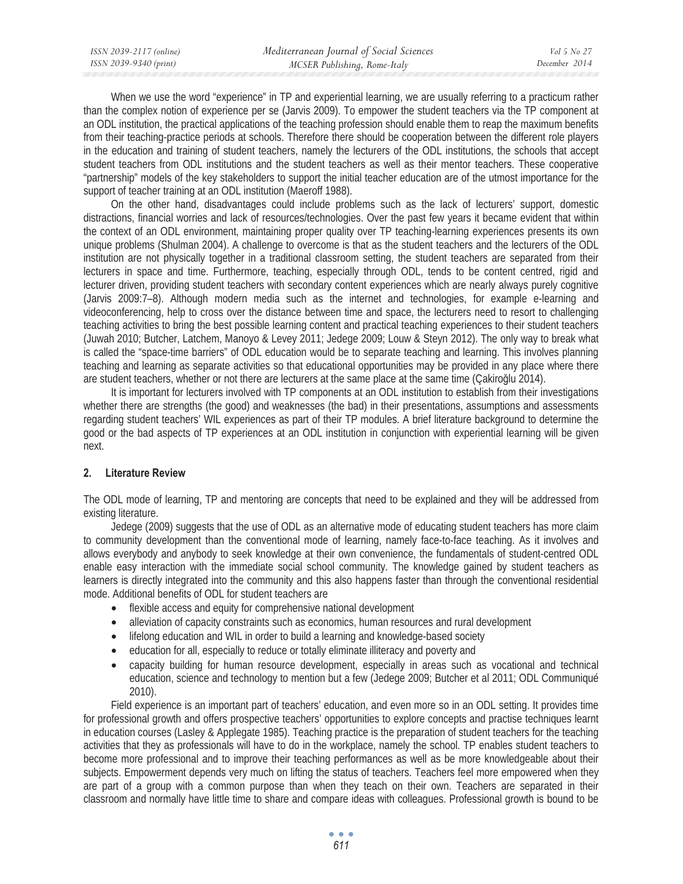| ISSN 2039-2117 (online) | Mediterranean Journal of Social Sciences | Vol 5 No 27   |
|-------------------------|------------------------------------------|---------------|
| ISSN 2039-9340 (print)  | MCSER Publishing, Rome-Italy             | December 2014 |

When we use the word "experience" in TP and experiential learning, we are usually referring to a practicum rather than the complex notion of experience per se (Jarvis 2009). To empower the student teachers via the TP component at an ODL institution, the practical applications of the teaching profession should enable them to reap the maximum benefits from their teaching-practice periods at schools. Therefore there should be cooperation between the different role players in the education and training of student teachers, namely the lecturers of the ODL institutions, the schools that accept student teachers from ODL institutions and the student teachers as well as their mentor teachers. These cooperative "partnership" models of the key stakeholders to support the initial teacher education are of the utmost importance for the support of teacher training at an ODL institution (Maeroff 1988).

On the other hand, disadvantages could include problems such as the lack of lecturers' support, domestic distractions, financial worries and lack of resources/technologies. Over the past few years it became evident that within the context of an ODL environment, maintaining proper quality over TP teaching-learning experiences presents its own unique problems (Shulman 2004). A challenge to overcome is that as the student teachers and the lecturers of the ODL institution are not physically together in a traditional classroom setting, the student teachers are separated from their lecturers in space and time. Furthermore, teaching, especially through ODL, tends to be content centred, rigid and lecturer driven, providing student teachers with secondary content experiences which are nearly always purely cognitive (Jarvis 2009:7–8). Although modern media such as the internet and technologies, for example e-learning and videoconferencing, help to cross over the distance between time and space, the lecturers need to resort to challenging teaching activities to bring the best possible learning content and practical teaching experiences to their student teachers (Juwah 2010; Butcher, Latchem, Manoyo & Levey 2011; Jedege 2009; Louw & Steyn 2012). The only way to break what is called the "space-time barriers" of ODL education would be to separate teaching and learning. This involves planning teaching and learning as separate activities so that educational opportunities may be provided in any place where there are student teachers, whether or not there are lecturers at the same place at the same time (Cakiroğlu 2014).

It is important for lecturers involved with TP components at an ODL institution to establish from their investigations whether there are strengths (the good) and weaknesses (the bad) in their presentations, assumptions and assessments regarding student teachers' WIL experiences as part of their TP modules. A brief literature background to determine the good or the bad aspects of TP experiences at an ODL institution in conjunction with experiential learning will be given next.

## **2. Literature Review**

The ODL mode of learning, TP and mentoring are concepts that need to be explained and they will be addressed from existing literature.

Jedege (2009) suggests that the use of ODL as an alternative mode of educating student teachers has more claim to community development than the conventional mode of learning, namely face-to-face teaching. As it involves and allows everybody and anybody to seek knowledge at their own convenience, the fundamentals of student-centred ODL enable easy interaction with the immediate social school community. The knowledge gained by student teachers as learners is directly integrated into the community and this also happens faster than through the conventional residential mode. Additional benefits of ODL for student teachers are

- flexible access and equity for comprehensive national development
- alleviation of capacity constraints such as economics, human resources and rural development
- lifelong education and WIL in order to build a learning and knowledge-based society
- education for all, especially to reduce or totally eliminate illiteracy and poverty and
- capacity building for human resource development, especially in areas such as vocational and technical education, science and technology to mention but a few (Jedege 2009; Butcher et al 2011; ODL Communiqué 2010).

Field experience is an important part of teachers' education, and even more so in an ODL setting. It provides time for professional growth and offers prospective teachers' opportunities to explore concepts and practise techniques learnt in education courses (Lasley & Applegate 1985). Teaching practice is the preparation of student teachers for the teaching activities that they as professionals will have to do in the workplace, namely the school. TP enables student teachers to become more professional and to improve their teaching performances as well as be more knowledgeable about their subjects. Empowerment depends very much on lifting the status of teachers. Teachers feel more empowered when they are part of a group with a common purpose than when they teach on their own. Teachers are separated in their classroom and normally have little time to share and compare ideas with colleagues. Professional growth is bound to be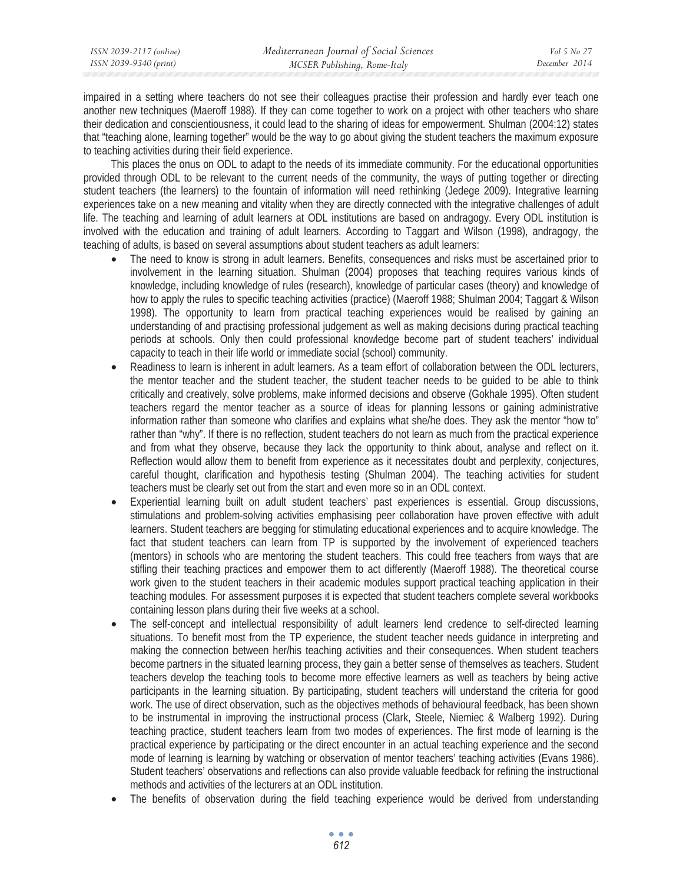impaired in a setting where teachers do not see their colleagues practise their profession and hardly ever teach one another new techniques (Maeroff 1988). If they can come together to work on a project with other teachers who share their dedication and conscientiousness, it could lead to the sharing of ideas for empowerment. Shulman (2004:12) states that "teaching alone, learning together" would be the way to go about giving the student teachers the maximum exposure to teaching activities during their field experience.

This places the onus on ODL to adapt to the needs of its immediate community. For the educational opportunities provided through ODL to be relevant to the current needs of the community, the ways of putting together or directing student teachers (the learners) to the fountain of information will need rethinking (Jedege 2009). Integrative learning experiences take on a new meaning and vitality when they are directly connected with the integrative challenges of adult life. The teaching and learning of adult learners at ODL institutions are based on andragogy. Every ODL institution is involved with the education and training of adult learners. According to Taggart and Wilson (1998), andragogy, the teaching of adults, is based on several assumptions about student teachers as adult learners:

- The need to know is strong in adult learners. Benefits, consequences and risks must be ascertained prior to involvement in the learning situation. Shulman (2004) proposes that teaching requires various kinds of knowledge, including knowledge of rules (research), knowledge of particular cases (theory) and knowledge of how to apply the rules to specific teaching activities (practice) (Maeroff 1988; Shulman 2004; Taggart & Wilson 1998). The opportunity to learn from practical teaching experiences would be realised by gaining an understanding of and practising professional judgement as well as making decisions during practical teaching periods at schools. Only then could professional knowledge become part of student teachers' individual capacity to teach in their life world or immediate social (school) community.
- Readiness to learn is inherent in adult learners. As a team effort of collaboration between the ODL lecturers, the mentor teacher and the student teacher, the student teacher needs to be guided to be able to think critically and creatively, solve problems, make informed decisions and observe (Gokhale 1995). Often student teachers regard the mentor teacher as a source of ideas for planning lessons or gaining administrative information rather than someone who clarifies and explains what she/he does. They ask the mentor "how to" rather than "why". If there is no reflection, student teachers do not learn as much from the practical experience and from what they observe, because they lack the opportunity to think about, analyse and reflect on it. Reflection would allow them to benefit from experience as it necessitates doubt and perplexity, conjectures, careful thought, clarification and hypothesis testing (Shulman 2004). The teaching activities for student teachers must be clearly set out from the start and even more so in an ODL context.
- Experiential learning built on adult student teachers' past experiences is essential. Group discussions, stimulations and problem-solving activities emphasising peer collaboration have proven effective with adult learners. Student teachers are begging for stimulating educational experiences and to acquire knowledge. The fact that student teachers can learn from TP is supported by the involvement of experienced teachers (mentors) in schools who are mentoring the student teachers. This could free teachers from ways that are stifling their teaching practices and empower them to act differently (Maeroff 1988). The theoretical course work given to the student teachers in their academic modules support practical teaching application in their teaching modules. For assessment purposes it is expected that student teachers complete several workbooks containing lesson plans during their five weeks at a school.
- The self-concept and intellectual responsibility of adult learners lend credence to self-directed learning situations. To benefit most from the TP experience, the student teacher needs guidance in interpreting and making the connection between her/his teaching activities and their consequences. When student teachers become partners in the situated learning process, they gain a better sense of themselves as teachers. Student teachers develop the teaching tools to become more effective learners as well as teachers by being active participants in the learning situation. By participating, student teachers will understand the criteria for good work. The use of direct observation, such as the objectives methods of behavioural feedback, has been shown to be instrumental in improving the instructional process (Clark, Steele, Niemiec & Walberg 1992). During teaching practice, student teachers learn from two modes of experiences. The first mode of learning is the practical experience by participating or the direct encounter in an actual teaching experience and the second mode of learning is learning by watching or observation of mentor teachers' teaching activities (Evans 1986). Student teachers' observations and reflections can also provide valuable feedback for refining the instructional methods and activities of the lecturers at an ODL institution.
- The benefits of observation during the field teaching experience would be derived from understanding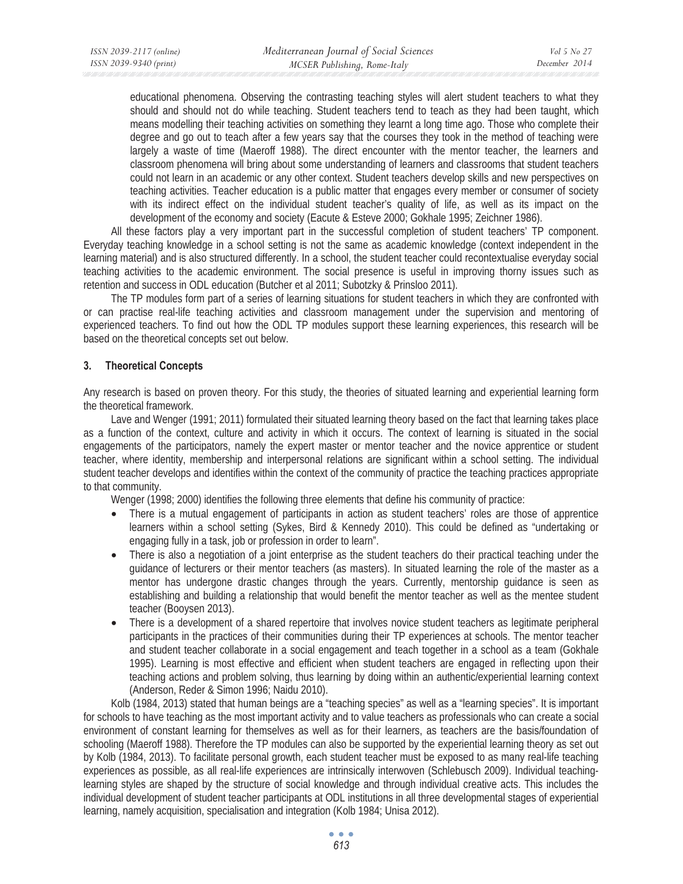educational phenomena. Observing the contrasting teaching styles will alert student teachers to what they should and should not do while teaching. Student teachers tend to teach as they had been taught, which means modelling their teaching activities on something they learnt a long time ago. Those who complete their degree and go out to teach after a few years say that the courses they took in the method of teaching were largely a waste of time (Maeroff 1988). The direct encounter with the mentor teacher, the learners and classroom phenomena will bring about some understanding of learners and classrooms that student teachers could not learn in an academic or any other context. Student teachers develop skills and new perspectives on teaching activities. Teacher education is a public matter that engages every member or consumer of society with its indirect effect on the individual student teacher's quality of life, as well as its impact on the development of the economy and society (Eacute & Esteve 2000; Gokhale 1995; Zeichner 1986).

All these factors play a very important part in the successful completion of student teachers' TP component. Everyday teaching knowledge in a school setting is not the same as academic knowledge (context independent in the learning material) and is also structured differently. In a school, the student teacher could recontextualise everyday social teaching activities to the academic environment. The social presence is useful in improving thorny issues such as retention and success in ODL education (Butcher et al 2011; Subotzky & Prinsloo 2011).

The TP modules form part of a series of learning situations for student teachers in which they are confronted with or can practise real-life teaching activities and classroom management under the supervision and mentoring of experienced teachers. To find out how the ODL TP modules support these learning experiences, this research will be based on the theoretical concepts set out below.

## **3. Theoretical Concepts**

Any research is based on proven theory. For this study, the theories of situated learning and experiential learning form the theoretical framework.

Lave and Wenger (1991; 2011) formulated their situated learning theory based on the fact that learning takes place as a function of the context, culture and activity in which it occurs. The context of learning is situated in the social engagements of the participators, namely the expert master or mentor teacher and the novice apprentice or student teacher, where identity, membership and interpersonal relations are significant within a school setting. The individual student teacher develops and identifies within the context of the community of practice the teaching practices appropriate to that community.

Wenger (1998; 2000) identifies the following three elements that define his community of practice:

- There is a mutual engagement of participants in action as student teachers' roles are those of apprentice learners within a school setting (Sykes, Bird & Kennedy 2010). This could be defined as "undertaking or engaging fully in a task, job or profession in order to learn".
- There is also a negotiation of a joint enterprise as the student teachers do their practical teaching under the guidance of lecturers or their mentor teachers (as masters). In situated learning the role of the master as a mentor has undergone drastic changes through the years. Currently, mentorship guidance is seen as establishing and building a relationship that would benefit the mentor teacher as well as the mentee student teacher (Booysen 2013).
- There is a development of a shared repertoire that involves novice student teachers as legitimate peripheral participants in the practices of their communities during their TP experiences at schools. The mentor teacher and student teacher collaborate in a social engagement and teach together in a school as a team (Gokhale 1995). Learning is most effective and efficient when student teachers are engaged in reflecting upon their teaching actions and problem solving, thus learning by doing within an authentic/experiential learning context (Anderson, Reder & Simon 1996; Naidu 2010).

Kolb (1984, 2013) stated that human beings are a "teaching species" as well as a "learning species". It is important for schools to have teaching as the most important activity and to value teachers as professionals who can create a social environment of constant learning for themselves as well as for their learners, as teachers are the basis/foundation of schooling (Maeroff 1988). Therefore the TP modules can also be supported by the experiential learning theory as set out by Kolb (1984, 2013). To facilitate personal growth, each student teacher must be exposed to as many real-life teaching experiences as possible, as all real-life experiences are intrinsically interwoven (Schlebusch 2009). Individual teachinglearning styles are shaped by the structure of social knowledge and through individual creative acts. This includes the individual development of student teacher participants at ODL institutions in all three developmental stages of experiential learning, namely acquisition, specialisation and integration (Kolb 1984; Unisa 2012).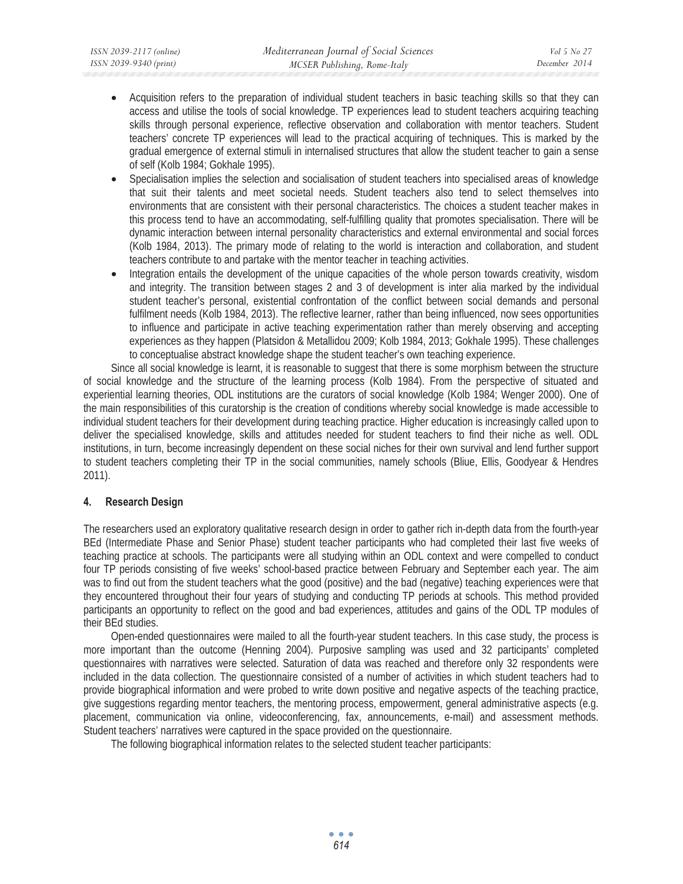- Acquisition refers to the preparation of individual student teachers in basic teaching skills so that they can access and utilise the tools of social knowledge. TP experiences lead to student teachers acquiring teaching skills through personal experience, reflective observation and collaboration with mentor teachers. Student teachers' concrete TP experiences will lead to the practical acquiring of techniques. This is marked by the gradual emergence of external stimuli in internalised structures that allow the student teacher to gain a sense of self (Kolb 1984; Gokhale 1995).
- Specialisation implies the selection and socialisation of student teachers into specialised areas of knowledge that suit their talents and meet societal needs. Student teachers also tend to select themselves into environments that are consistent with their personal characteristics. The choices a student teacher makes in this process tend to have an accommodating, self-fulfilling quality that promotes specialisation. There will be dynamic interaction between internal personality characteristics and external environmental and social forces (Kolb 1984, 2013). The primary mode of relating to the world is interaction and collaboration, and student teachers contribute to and partake with the mentor teacher in teaching activities.
- Integration entails the development of the unique capacities of the whole person towards creativity, wisdom and integrity. The transition between stages 2 and 3 of development is inter alia marked by the individual student teacher's personal, existential confrontation of the conflict between social demands and personal fulfilment needs (Kolb 1984, 2013). The reflective learner, rather than being influenced, now sees opportunities to influence and participate in active teaching experimentation rather than merely observing and accepting experiences as they happen (Platsidon & Metallidou 2009; Kolb 1984, 2013; Gokhale 1995). These challenges to conceptualise abstract knowledge shape the student teacher's own teaching experience.

Since all social knowledge is learnt, it is reasonable to suggest that there is some morphism between the structure of social knowledge and the structure of the learning process (Kolb 1984). From the perspective of situated and experiential learning theories, ODL institutions are the curators of social knowledge (Kolb 1984; Wenger 2000). One of the main responsibilities of this curatorship is the creation of conditions whereby social knowledge is made accessible to individual student teachers for their development during teaching practice. Higher education is increasingly called upon to deliver the specialised knowledge, skills and attitudes needed for student teachers to find their niche as well. ODL institutions, in turn, become increasingly dependent on these social niches for their own survival and lend further support to student teachers completing their TP in the social communities, namely schools (Bliue, Ellis, Goodyear & Hendres 2011).

## **4. Research Design**

The researchers used an exploratory qualitative research design in order to gather rich in-depth data from the fourth-year BEd (Intermediate Phase and Senior Phase) student teacher participants who had completed their last five weeks of teaching practice at schools. The participants were all studying within an ODL context and were compelled to conduct four TP periods consisting of five weeks' school-based practice between February and September each year. The aim was to find out from the student teachers what the good (positive) and the bad (negative) teaching experiences were that they encountered throughout their four years of studying and conducting TP periods at schools. This method provided participants an opportunity to reflect on the good and bad experiences, attitudes and gains of the ODL TP modules of their BEd studies.

Open-ended questionnaires were mailed to all the fourth-year student teachers. In this case study, the process is more important than the outcome (Henning 2004). Purposive sampling was used and 32 participants' completed questionnaires with narratives were selected. Saturation of data was reached and therefore only 32 respondents were included in the data collection. The questionnaire consisted of a number of activities in which student teachers had to provide biographical information and were probed to write down positive and negative aspects of the teaching practice, give suggestions regarding mentor teachers, the mentoring process, empowerment, general administrative aspects (e.g. placement, communication via online, videoconferencing, fax, announcements, e-mail) and assessment methods. Student teachers' narratives were captured in the space provided on the questionnaire.

The following biographical information relates to the selected student teacher participants: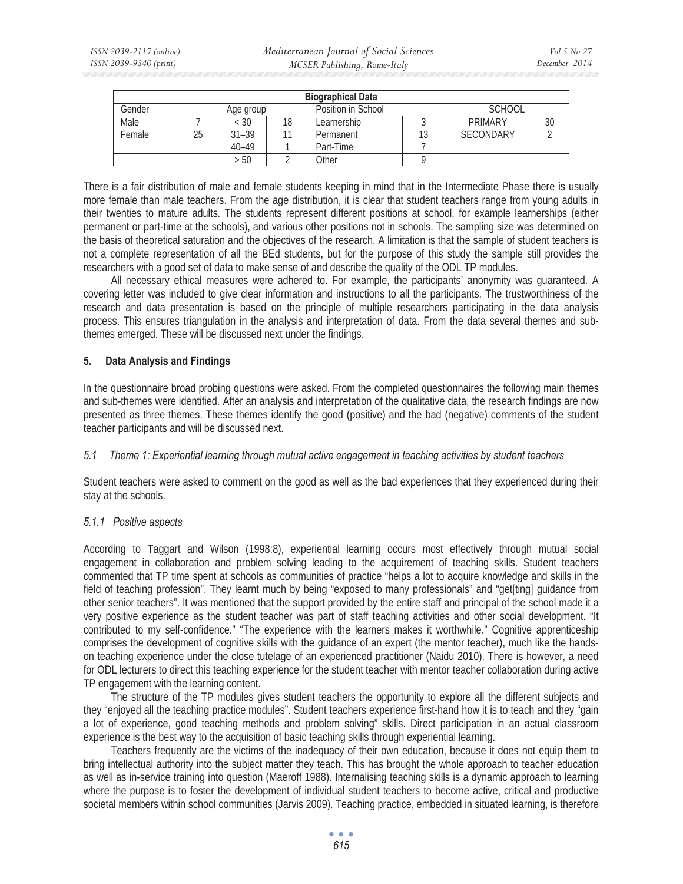| <b>Biographical Data</b> |    |           |    |                    |     |                  |    |  |  |
|--------------------------|----|-----------|----|--------------------|-----|------------------|----|--|--|
| Gender                   |    | Age group |    | Position in School |     | <b>SCHOOL</b>    |    |  |  |
| Male                     |    | . 30      | 18 | Learnership        |     | <b>PRIMARY</b>   | 30 |  |  |
| Female                   | 25 | $31 - 39$ | 11 | Permanent          | ט ו | <b>SECONDARY</b> |    |  |  |
|                          |    | $40 - 49$ |    | Part-Time          |     |                  |    |  |  |
|                          |    | > 50      |    | Other              |     |                  |    |  |  |

There is a fair distribution of male and female students keeping in mind that in the Intermediate Phase there is usually more female than male teachers. From the age distribution, it is clear that student teachers range from young adults in their twenties to mature adults. The students represent different positions at school, for example learnerships (either permanent or part-time at the schools), and various other positions not in schools. The sampling size was determined on the basis of theoretical saturation and the objectives of the research. A limitation is that the sample of student teachers is not a complete representation of all the BEd students, but for the purpose of this study the sample still provides the researchers with a good set of data to make sense of and describe the quality of the ODL TP modules.

All necessary ethical measures were adhered to. For example, the participants' anonymity was guaranteed. A covering letter was included to give clear information and instructions to all the participants. The trustworthiness of the research and data presentation is based on the principle of multiple researchers participating in the data analysis process. This ensures triangulation in the analysis and interpretation of data. From the data several themes and subthemes emerged. These will be discussed next under the findings.

## **5. Data Analysis and Findings**

In the questionnaire broad probing questions were asked. From the completed questionnaires the following main themes and sub-themes were identified. After an analysis and interpretation of the qualitative data, the research findings are now presented as three themes. These themes identify the good (positive) and the bad (negative) comments of the student teacher participants and will be discussed next.

## *5.1 Theme 1: Experiential learning through mutual active engagement in teaching activities by student teachers*

Student teachers were asked to comment on the good as well as the bad experiences that they experienced during their stay at the schools.

## *5.1.1 Positive aspects*

According to Taggart and Wilson (1998:8), experiential learning occurs most effectively through mutual social engagement in collaboration and problem solving leading to the acquirement of teaching skills. Student teachers commented that TP time spent at schools as communities of practice "helps a lot to acquire knowledge and skills in the field of teaching profession". They learnt much by being "exposed to many professionals" and "get[ting] guidance from other senior teachers". It was mentioned that the support provided by the entire staff and principal of the school made it a very positive experience as the student teacher was part of staff teaching activities and other social development. "It contributed to my self-confidence." "The experience with the learners makes it worthwhile." Cognitive apprenticeship comprises the development of cognitive skills with the guidance of an expert (the mentor teacher), much like the handson teaching experience under the close tutelage of an experienced practitioner (Naidu 2010). There is however, a need for ODL lecturers to direct this teaching experience for the student teacher with mentor teacher collaboration during active TP engagement with the learning content.

The structure of the TP modules gives student teachers the opportunity to explore all the different subjects and they "enjoyed all the teaching practice modules". Student teachers experience first-hand how it is to teach and they "gain a lot of experience, good teaching methods and problem solving" skills. Direct participation in an actual classroom experience is the best way to the acquisition of basic teaching skills through experiential learning.

Teachers frequently are the victims of the inadequacy of their own education, because it does not equip them to bring intellectual authority into the subject matter they teach. This has brought the whole approach to teacher education as well as in-service training into question (Maeroff 1988). Internalising teaching skills is a dynamic approach to learning where the purpose is to foster the development of individual student teachers to become active, critical and productive societal members within school communities (Jarvis 2009). Teaching practice, embedded in situated learning, is therefore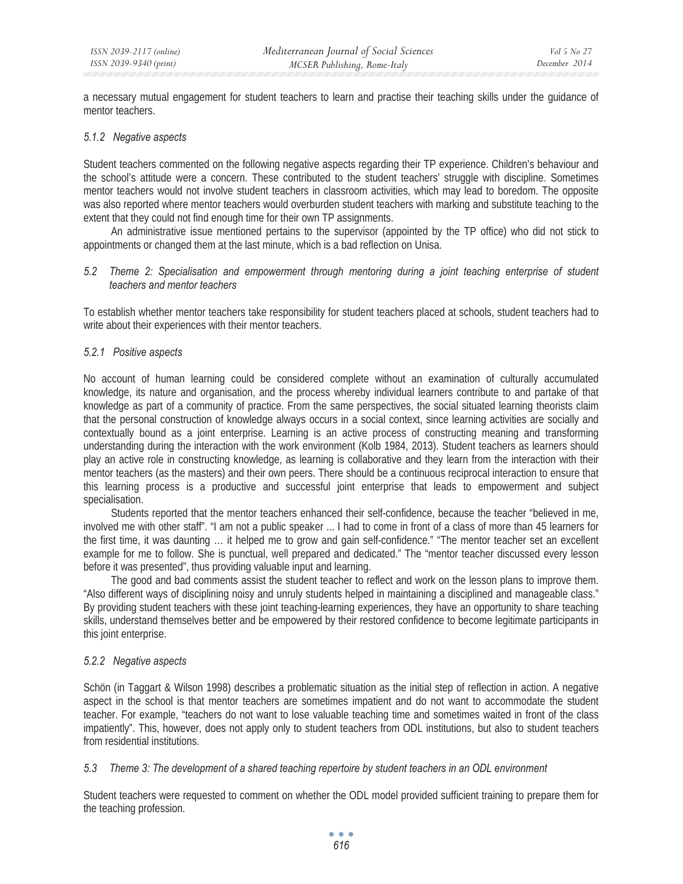a necessary mutual engagement for student teachers to learn and practise their teaching skills under the guidance of mentor teachers.

#### *5.1.2 Negative aspects*

Student teachers commented on the following negative aspects regarding their TP experience. Children's behaviour and the school's attitude were a concern. These contributed to the student teachers' struggle with discipline. Sometimes mentor teachers would not involve student teachers in classroom activities, which may lead to boredom. The opposite was also reported where mentor teachers would overburden student teachers with marking and substitute teaching to the extent that they could not find enough time for their own TP assignments.

An administrative issue mentioned pertains to the supervisor (appointed by the TP office) who did not stick to appointments or changed them at the last minute, which is a bad reflection on Unisa.

## *5.2 Theme 2: Specialisation and empowerment through mentoring during a joint teaching enterprise of student teachers and mentor teachers*

To establish whether mentor teachers take responsibility for student teachers placed at schools, student teachers had to write about their experiences with their mentor teachers.

#### *5.2.1 Positive aspects*

No account of human learning could be considered complete without an examination of culturally accumulated knowledge, its nature and organisation, and the process whereby individual learners contribute to and partake of that knowledge as part of a community of practice. From the same perspectives, the social situated learning theorists claim that the personal construction of knowledge always occurs in a social context, since learning activities are socially and contextually bound as a joint enterprise. Learning is an active process of constructing meaning and transforming understanding during the interaction with the work environment (Kolb 1984, 2013). Student teachers as learners should play an active role in constructing knowledge, as learning is collaborative and they learn from the interaction with their mentor teachers (as the masters) and their own peers. There should be a continuous reciprocal interaction to ensure that this learning process is a productive and successful joint enterprise that leads to empowerment and subject specialisation.

Students reported that the mentor teachers enhanced their self-confidence, because the teacher "believed in me, involved me with other staff". "I am not a public speaker ... I had to come in front of a class of more than 45 learners for the first time, it was daunting … it helped me to grow and gain self-confidence." "The mentor teacher set an excellent example for me to follow. She is punctual, well prepared and dedicated." The "mentor teacher discussed every lesson before it was presented", thus providing valuable input and learning.

The good and bad comments assist the student teacher to reflect and work on the lesson plans to improve them. "Also different ways of disciplining noisy and unruly students helped in maintaining a disciplined and manageable class." By providing student teachers with these joint teaching-learning experiences, they have an opportunity to share teaching skills, understand themselves better and be empowered by their restored confidence to become legitimate participants in this joint enterprise.

## *5.2.2 Negative aspects*

Schön (in Taggart & Wilson 1998) describes a problematic situation as the initial step of reflection in action. A negative aspect in the school is that mentor teachers are sometimes impatient and do not want to accommodate the student teacher. For example, "teachers do not want to lose valuable teaching time and sometimes waited in front of the class impatiently". This, however, does not apply only to student teachers from ODL institutions, but also to student teachers from residential institutions.

## *5.3 Theme 3: The development of a shared teaching repertoire by student teachers in an ODL environment*

Student teachers were requested to comment on whether the ODL model provided sufficient training to prepare them for the teaching profession.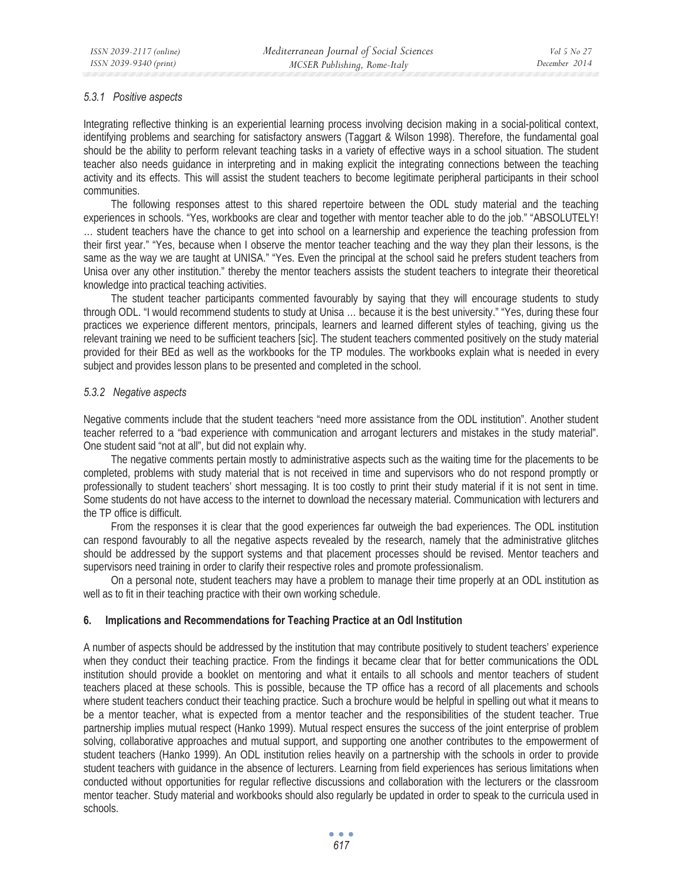## *5.3.1 Positive aspects*

Integrating reflective thinking is an experiential learning process involving decision making in a social-political context, identifying problems and searching for satisfactory answers (Taggart & Wilson 1998). Therefore, the fundamental goal should be the ability to perform relevant teaching tasks in a variety of effective ways in a school situation. The student teacher also needs guidance in interpreting and in making explicit the integrating connections between the teaching activity and its effects. This will assist the student teachers to become legitimate peripheral participants in their school communities.

The following responses attest to this shared repertoire between the ODL study material and the teaching experiences in schools. "Yes, workbooks are clear and together with mentor teacher able to do the job." "ABSOLUTELY! … student teachers have the chance to get into school on a learnership and experience the teaching profession from their first year." "Yes, because when I observe the mentor teacher teaching and the way they plan their lessons, is the same as the way we are taught at UNISA." "Yes. Even the principal at the school said he prefers student teachers from Unisa over any other institution." thereby the mentor teachers assists the student teachers to integrate their theoretical knowledge into practical teaching activities.

The student teacher participants commented favourably by saying that they will encourage students to study through ODL. "I would recommend students to study at Unisa … because it is the best university." "Yes, during these four practices we experience different mentors, principals, learners and learned different styles of teaching, giving us the relevant training we need to be sufficient teachers [sic]. The student teachers commented positively on the study material provided for their BEd as well as the workbooks for the TP modules. The workbooks explain what is needed in every subject and provides lesson plans to be presented and completed in the school.

## *5.3.2 Negative aspects*

Negative comments include that the student teachers "need more assistance from the ODL institution". Another student teacher referred to a "bad experience with communication and arrogant lecturers and mistakes in the study material". One student said "not at all", but did not explain why.

The negative comments pertain mostly to administrative aspects such as the waiting time for the placements to be completed, problems with study material that is not received in time and supervisors who do not respond promptly or professionally to student teachers' short messaging. It is too costly to print their study material if it is not sent in time. Some students do not have access to the internet to download the necessary material. Communication with lecturers and the TP office is difficult.

From the responses it is clear that the good experiences far outweigh the bad experiences. The ODL institution can respond favourably to all the negative aspects revealed by the research, namely that the administrative glitches should be addressed by the support systems and that placement processes should be revised. Mentor teachers and supervisors need training in order to clarify their respective roles and promote professionalism.

On a personal note, student teachers may have a problem to manage their time properly at an ODL institution as well as to fit in their teaching practice with their own working schedule.

## **6. Implications and Recommendations for Teaching Practice at an Odl Institution**

A number of aspects should be addressed by the institution that may contribute positively to student teachers' experience when they conduct their teaching practice. From the findings it became clear that for better communications the ODL institution should provide a booklet on mentoring and what it entails to all schools and mentor teachers of student teachers placed at these schools. This is possible, because the TP office has a record of all placements and schools where student teachers conduct their teaching practice. Such a brochure would be helpful in spelling out what it means to be a mentor teacher, what is expected from a mentor teacher and the responsibilities of the student teacher. True partnership implies mutual respect (Hanko 1999). Mutual respect ensures the success of the joint enterprise of problem solving, collaborative approaches and mutual support, and supporting one another contributes to the empowerment of student teachers (Hanko 1999). An ODL institution relies heavily on a partnership with the schools in order to provide student teachers with guidance in the absence of lecturers. Learning from field experiences has serious limitations when conducted without opportunities for regular reflective discussions and collaboration with the lecturers or the classroom mentor teacher. Study material and workbooks should also regularly be updated in order to speak to the curricula used in schools.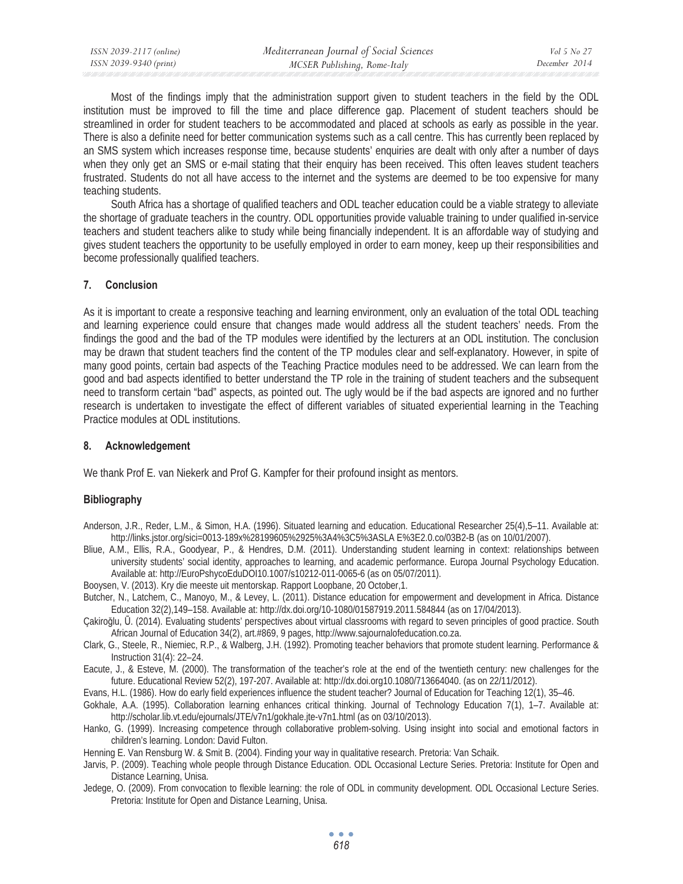Most of the findings imply that the administration support given to student teachers in the field by the ODL institution must be improved to fill the time and place difference gap. Placement of student teachers should be streamlined in order for student teachers to be accommodated and placed at schools as early as possible in the year. There is also a definite need for better communication systems such as a call centre. This has currently been replaced by an SMS system which increases response time, because students' enquiries are dealt with only after a number of days when they only get an SMS or e-mail stating that their enquiry has been received. This often leaves student teachers frustrated. Students do not all have access to the internet and the systems are deemed to be too expensive for many teaching students.

South Africa has a shortage of qualified teachers and ODL teacher education could be a viable strategy to alleviate the shortage of graduate teachers in the country. ODL opportunities provide valuable training to under qualified in-service teachers and student teachers alike to study while being financially independent. It is an affordable way of studying and gives student teachers the opportunity to be usefully employed in order to earn money, keep up their responsibilities and become professionally qualified teachers.

## **7. Conclusion**

As it is important to create a responsive teaching and learning environment, only an evaluation of the total ODL teaching and learning experience could ensure that changes made would address all the student teachers' needs. From the findings the good and the bad of the TP modules were identified by the lecturers at an ODL institution. The conclusion may be drawn that student teachers find the content of the TP modules clear and self-explanatory. However, in spite of many good points, certain bad aspects of the Teaching Practice modules need to be addressed. We can learn from the good and bad aspects identified to better understand the TP role in the training of student teachers and the subsequent need to transform certain "bad" aspects, as pointed out. The ugly would be if the bad aspects are ignored and no further research is undertaken to investigate the effect of different variables of situated experiential learning in the Teaching Practice modules at ODL institutions.

#### **8. Acknowledgement**

We thank Prof E. van Niekerk and Prof G. Kampfer for their profound insight as mentors.

## **Bibliography**

- Anderson, J.R., Reder, L.M., & Simon, H.A. (1996). Situated learning and education. Educational Researcher 25(4),5–11. Available at: http://links.jstor.org/sici=0013-189x%28199605%2925%3A4%3C5%3ASLA E%3E2.0.co/03B2-B (as on 10/01/2007).
- Bliue, A.M., Ellis, R.A., Goodyear, P., & Hendres, D.M. (2011). Understanding student learning in context: relationships between university students' social identity, approaches to learning, and academic performance. Europa Journal Psychology Education. Available at: http://EuroPshycoEduDOI10.1007/s10212-011-0065-6 (as on 05/07/2011).

Booysen, V. (2013). Kry die meeste uit mentorskap. Rapport Loopbane, 20 October,1.

- Butcher, N., Latchem, C., Manoyo, M., & Levey, L. (2011). Distance education for empowerment and development in Africa. Distance Education 32(2),149–158. Available at: http://dx.doi.org/10-1080/01587919.2011.584844 (as on 17/04/2013).
- Çakiroğlu, Ü. (2014). Evaluating students' perspectives about virtual classrooms with regard to seven principles of good practice. South African Journal of Education 34(2), art.#869, 9 pages, http://www.sajournalofeducation.co.za.
- Clark, G., Steele, R., Niemiec, R.P., & Walberg, J.H. (1992). Promoting teacher behaviors that promote student learning. Performance & Instruction 31(4): 22–24.
- Eacute, J., & Esteve, M. (2000). The transformation of the teacher's role at the end of the twentieth century: new challenges for the future. Educational Review 52(2), 197-207. Available at: http://dx.doi.org10.1080/713664040. (as on 22/11/2012).

Evans, H.L. (1986). How do early field experiences influence the student teacher? Journal of Education for Teaching 12(1), 35–46.

- Gokhale, A.A. (1995). Collaboration learning enhances critical thinking. Journal of Technology Education 7(1), 1–7. Available at: http://scholar.lib.vt.edu/ejournals/JTE/v7n1/gokhale.jte-v7n1.html (as on 03/10/2013).
- Hanko, G. (1999). Increasing competence through collaborative problem-solving. Using insight into social and emotional factors in children's learning. London: David Fulton.

Henning E. Van Rensburg W. & Smit B. (2004). Finding your way in qualitative research. Pretoria: Van Schaik.

- Jarvis, P. (2009). Teaching whole people through Distance Education. ODL Occasional Lecture Series. Pretoria: Institute for Open and Distance Learning, Unisa.
- Jedege, O. (2009). From convocation to flexible learning: the role of ODL in community development. ODL Occasional Lecture Series. Pretoria: Institute for Open and Distance Learning, Unisa.